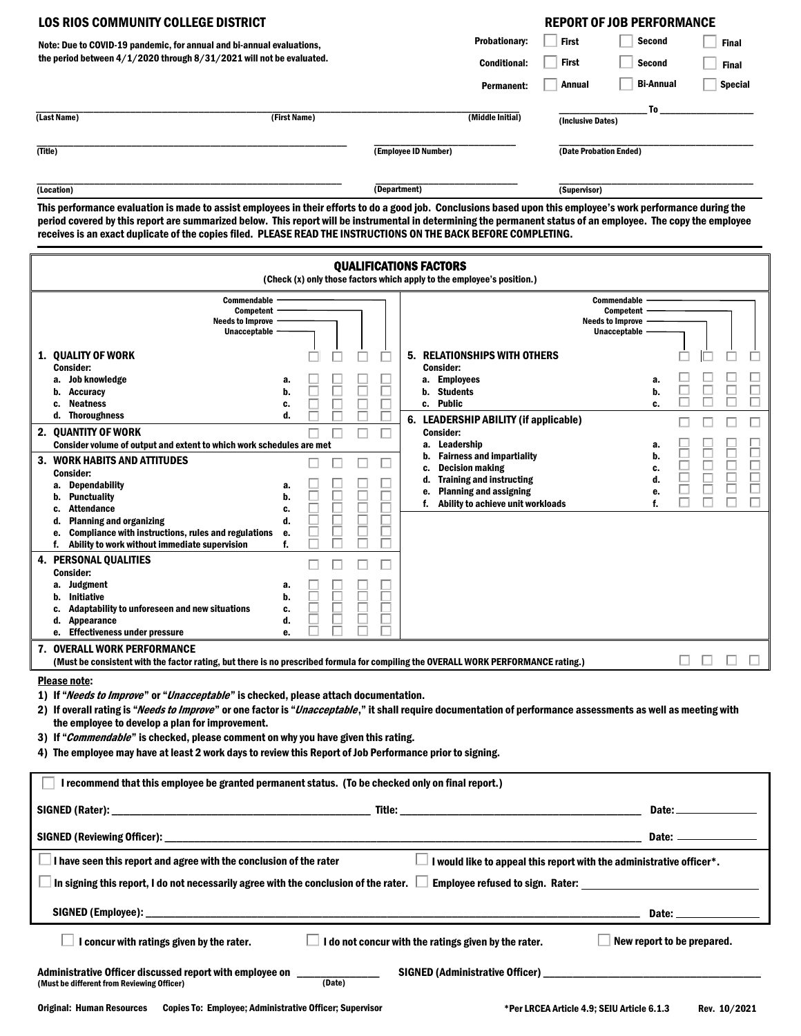| LOS RIOS COMMUNITY COLLEGE DISTRICT                                                                                                                                                                                                                                                                                                                                                                                                                |                      |                        | <b>REPORT OF JOB PERFORMANCE</b> |                |  |  |  |
|----------------------------------------------------------------------------------------------------------------------------------------------------------------------------------------------------------------------------------------------------------------------------------------------------------------------------------------------------------------------------------------------------------------------------------------------------|----------------------|------------------------|----------------------------------|----------------|--|--|--|
| Note: Due to COVID-19 pandemic, for annual and bi-annual evaluations,                                                                                                                                                                                                                                                                                                                                                                              | <b>Probationary:</b> | <b>First</b>           | <b>Second</b>                    | <b>Final</b>   |  |  |  |
| the period between $4/1/2020$ through $8/31/2021$ will not be evaluated.                                                                                                                                                                                                                                                                                                                                                                           | <b>Conditional:</b>  | <b>First</b>           | <b>Second</b>                    | <b>Final</b>   |  |  |  |
|                                                                                                                                                                                                                                                                                                                                                                                                                                                    | <b>Permanent:</b>    | Annual                 | <b>Bi-Annual</b>                 | <b>Special</b> |  |  |  |
| (Last Name)<br>(First Name)                                                                                                                                                                                                                                                                                                                                                                                                                        | (Middle Initial)     | (Inclusive Dates)      | To                               |                |  |  |  |
| (Title)                                                                                                                                                                                                                                                                                                                                                                                                                                            | (Employee ID Number) | (Date Probation Ended) |                                  |                |  |  |  |
| (Location)                                                                                                                                                                                                                                                                                                                                                                                                                                         | (Department)         | (Supervisor)           |                                  |                |  |  |  |
| This performance evaluation is made to assist employees in their efforts to do a good job. Conclusions based upon this employee's work performance during the<br>period covered by this report are summarized below. This report will be instrumental in determining the permanent status of an employee. The copy the employee<br>receives is an exact duplicate of the copies filed. PLEASE READ THE INSTRUCTIONS ON THE BACK BEFORE COMPLETING. |                      |                        |                                  |                |  |  |  |

| <b>QUALIFICATIONS FACTORS</b><br>(Check (x) only those factors which apply to the employee's position.)                                                                                                                                                                                                                                                                                                                                                                                                                         |                                  |                                                                                                                                                                                                |                                                                                          |  |  |  |
|---------------------------------------------------------------------------------------------------------------------------------------------------------------------------------------------------------------------------------------------------------------------------------------------------------------------------------------------------------------------------------------------------------------------------------------------------------------------------------------------------------------------------------|----------------------------------|------------------------------------------------------------------------------------------------------------------------------------------------------------------------------------------------|------------------------------------------------------------------------------------------|--|--|--|
| <b>Commendable</b><br>Competent<br><b>Needs to Improve</b><br>Unacceptable                                                                                                                                                                                                                                                                                                                                                                                                                                                      |                                  |                                                                                                                                                                                                | <b>Commendable</b><br><b>Competent</b><br><b>Needs to Improve</b><br><b>Unacceptable</b> |  |  |  |
| 1. QUALITY OF WORK<br><b>Consider:</b><br>Job knowledge<br><b>Accuracy</b><br>b.<br><b>Neatness</b><br>c.<br><b>Thoroughness</b><br>d.<br>2. QUANTITY OF WORK                                                                                                                                                                                                                                                                                                                                                                   | a.<br>b.<br>c.<br>d.             | 5. RELATIONSHIPS WITH OTHERS<br><b>Consider:</b><br>a. Employees<br>Students<br>b.<br>c. Public<br>6. LEADERSHIP ABILITY (if applicable)<br><b>Consider:</b>                                   | a.<br>b.<br>c.                                                                           |  |  |  |
| Consider volume of output and extent to which work schedules are met<br>3. WORK HABITS AND ATTITUDES<br><b>Consider:</b><br>Dependability<br>а.<br>Punctuality<br>b.<br><b>Attendance</b><br>c.<br><b>Planning and organizing</b><br>d.                                                                                                                                                                                                                                                                                         | a.<br>b.<br>c.<br>d.             | a. Leadership<br>b. Fairness and impartiality<br><b>Decision making</b><br>c.<br>d. Training and instructing<br><b>Planning and assigning</b><br>е.<br>Ability to achieve unit workloads<br>f. | a.<br>b.<br>□<br>ш<br>c.<br>$\Box$<br>d.<br>□<br>е.<br>□<br>f.                           |  |  |  |
| Compliance with instructions, rules and regulations<br>е.<br>Ability to work without immediate supervision<br>f.<br><b>4. PERSONAL QUALITIES</b><br><b>Consider:</b><br>a. Judgment<br><b>Initiative</b><br>b.<br>Adaptability to unforeseen and new situations<br>c.<br>Appearance<br>d.                                                                                                                                                                                                                                       | е.<br>f.<br>a.<br>b.<br>c.<br>d. |                                                                                                                                                                                                |                                                                                          |  |  |  |
| e. Effectiveness under pressure<br>7. OVERALL WORK PERFORMANCE<br>(Must be consistent with the factor rating, but there is no prescribed formula for compiling the OVERALL WORK PERFORMANCE rating.)                                                                                                                                                                                                                                                                                                                            | e.                               |                                                                                                                                                                                                |                                                                                          |  |  |  |
| <b>Please note:</b><br>1) If "Needs to Improve" or "Unacceptable" is checked, please attach documentation.<br>2) If overall rating is "Needs to Improve" or one factor is "Unacceptable," it shall require documentation of performance assessments as well as meeting with<br>the employee to develop a plan for improvement.<br>3) If "Commendable" is checked, please comment on why you have given this rating.<br>4) The employee may have at least 2 work days to review this Report of Job Performance prior to signing. |                                  |                                                                                                                                                                                                |                                                                                          |  |  |  |
| I recommend that this employee be granted permanent status. (To be checked only on final report.)<br>Title:<br>SIGNED (Rater):<br>Date:                                                                                                                                                                                                                                                                                                                                                                                         |                                  |                                                                                                                                                                                                |                                                                                          |  |  |  |
| <b>SIGNED (Reviewing Officer):</b>                                                                                                                                                                                                                                                                                                                                                                                                                                                                                              |                                  |                                                                                                                                                                                                | Date:                                                                                    |  |  |  |
| I have seen this report and agree with the conclusion of the rater<br>I would like to appeal this report with the administrative officer*.<br>In signing this report, I do not necessarily agree with the conclusion of the rater.<br>Employee refused to sign. Rater:                                                                                                                                                                                                                                                          |                                  |                                                                                                                                                                                                |                                                                                          |  |  |  |
| SIGNED (Employee): _                                                                                                                                                                                                                                                                                                                                                                                                                                                                                                            |                                  |                                                                                                                                                                                                | Date:                                                                                    |  |  |  |
| I do not concur with the ratings given by the rater.<br>New report to be prepared.<br>I concur with ratings given by the rater.                                                                                                                                                                                                                                                                                                                                                                                                 |                                  |                                                                                                                                                                                                |                                                                                          |  |  |  |
| Administrative Officer discussed report with employee on<br>SIGNED (Administrative Officer)<br>(Must be different from Reviewing Officer)<br>(Date)                                                                                                                                                                                                                                                                                                                                                                             |                                  |                                                                                                                                                                                                |                                                                                          |  |  |  |